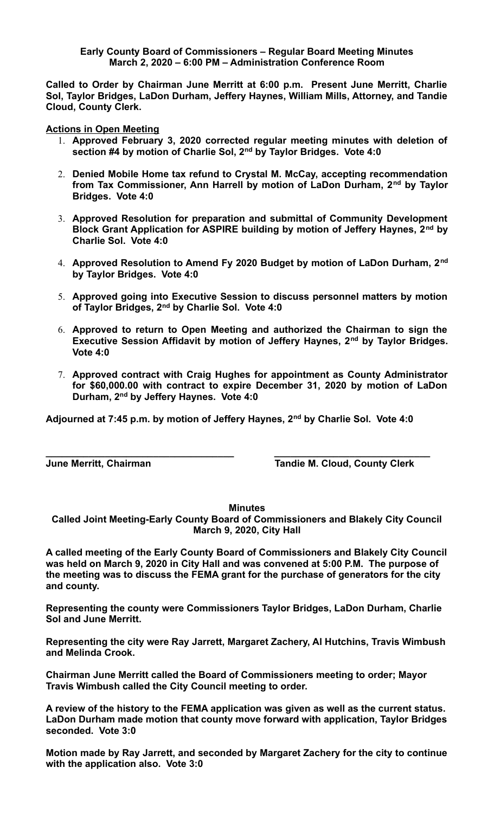## **Early County Board of Commissioners – Regular Board Meeting Minutes March 2, 2020 – 6:00 PM – Administration Conference Room**

**Called to Order by Chairman June Merritt at 6:00 p.m. Present June Merritt, Charlie Sol, Taylor Bridges, LaDon Durham, Jeffery Haynes, William Mills, Attorney, and Tandie Cloud, County Clerk.** 

**Actions in Open Meeting**

- 1. **Approved February 3, 2020 corrected regular meeting minutes with deletion of section #4 by motion of Charlie Sol, 2nd by Taylor Bridges. Vote 4:0**
- 2. **Denied Mobile Home tax refund to Crystal M. McCay, accepting recommendation from Tax Commissioner, Ann Harrell by motion of LaDon Durham, 2nd by Taylor Bridges. Vote 4:0**
- 3. **Approved Resolution for preparation and submittal of Community Development Block Grant Application for ASPIRE building by motion of Jeffery Haynes, 2nd by Charlie Sol. Vote 4:0**
- 4. **Approved Resolution to Amend Fy 2020 Budget by motion of LaDon Durham, 2nd by Taylor Bridges. Vote 4:0**
- 5. **Approved going into Executive Session to discuss personnel matters by motion of Taylor Bridges, 2nd by Charlie Sol. Vote 4:0**
- 6. **Approved to return to Open Meeting and authorized the Chairman to sign the Executive Session Affidavit by motion of Jeffery Haynes, 2nd by Taylor Bridges. Vote 4:0**
- 7. **Approved contract with Craig Hughes for appointment as County Administrator for \$60,000.00 with contract to expire December 31, 2020 by motion of LaDon Durham, 2nd by Jeffery Haynes. Vote 4:0**

**Adjourned at 7:45 p.m. by motion of Jeffery Haynes, 2nd by Charlie Sol. Vote 4:0**

**\_\_\_\_\_\_\_\_\_\_\_\_\_\_\_\_\_\_\_\_\_\_\_\_\_\_\_\_\_\_\_\_\_\_\_ \_\_\_\_\_\_\_\_\_\_\_\_\_\_\_\_\_\_\_\_\_\_\_\_\_\_\_\_\_**

**June Merritt, Chairman Tandie M. Cloud, County Clerk**

**Minutes**

**Called Joint Meeting-Early County Board of Commissioners and Blakely City Council March 9, 2020, City Hall**

**A called meeting of the Early County Board of Commissioners and Blakely City Council was held on March 9, 2020 in City Hall and was convened at 5:00 P.M. The purpose of the meeting was to discuss the FEMA grant for the purchase of generators for the city and county.**

**Representing the county were Commissioners Taylor Bridges, LaDon Durham, Charlie Sol and June Merritt.**

**Representing the city were Ray Jarrett, Margaret Zachery, Al Hutchins, Travis Wimbush and Melinda Crook.**

**Chairman June Merritt called the Board of Commissioners meeting to order; Mayor Travis Wimbush called the City Council meeting to order.**

**A review of the history to the FEMA application was given as well as the current status. LaDon Durham made motion that county move forward with application, Taylor Bridges seconded. Vote 3:0**

**Motion made by Ray Jarrett, and seconded by Margaret Zachery for the city to continue with the application also. Vote 3:0**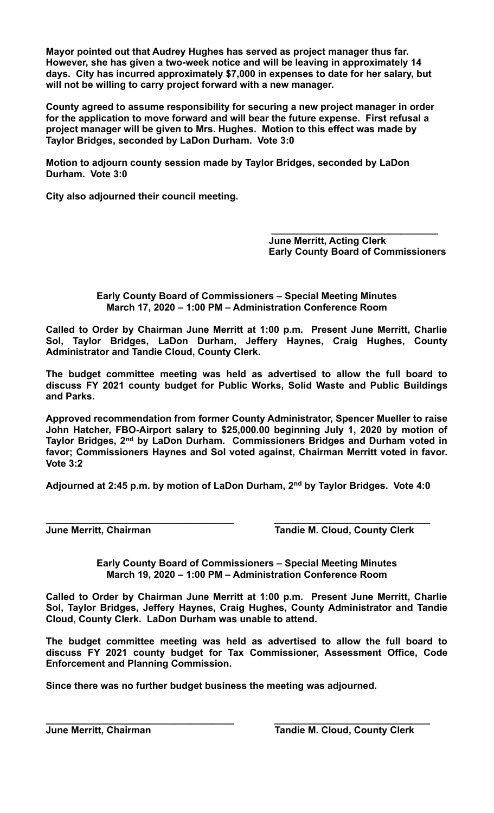**Mayor pointed out that Audrey Hughes has served as project manager thus far. However, she has given a two-week notice and will be leaving in approximately 14 days. City has incurred approximately \$7,000 in expenses to date for her salary, but will not be willing to carry project forward with a new manager.**

**County agreed to assume responsibility for securing a new project manager in order for the application to move forward and will bear the future expense. First refusal a project manager will be given to Mrs. Hughes. Motion to this effect was made by Taylor Bridges, seconded by LaDon Durham. Vote 3:0**

**Motion to adjourn county session made by Taylor Bridges, seconded by LaDon Durham. Vote 3:0**

**City also adjourned their council meeting.**

 **June Merritt, Acting Clerk Early County Board of Commissioners**

**Early County Board of Commissioners – Special Meeting Minutes March 17, 2020 – 1:00 PM – Administration Conference Room**

 **\_\_\_\_\_\_\_\_\_\_\_\_\_\_\_\_\_\_\_\_\_\_\_\_\_\_\_\_\_\_\_**

**Called to Order by Chairman June Merritt at 1:00 p.m. Present June Merritt, Charlie Sol, Taylor Bridges, LaDon Durham, Jeffery Haynes, Craig Hughes, County Administrator and Tandie Cloud, County Clerk.** 

**The budget committee meeting was held as advertised to allow the full board to discuss FY 2021 county budget for Public Works, Solid Waste and Public Buildings and Parks.**

**Approved recommendation from former County Administrator, Spencer Mueller to raise John Hatcher, FBO-Airport salary to \$25,000.00 beginning July 1, 2020 by motion of Taylor Bridges, 2nd by LaDon Durham. Commissioners Bridges and Durham voted in favor; Commissioners Haynes and Sol voted against, Chairman Merritt voted in favor. Vote 3:2**

**Adjourned at 2:45 p.m. by motion of LaDon Durham, 2nd by Taylor Bridges. Vote 4:0**

**\_\_\_\_\_\_\_\_\_\_\_\_\_\_\_\_\_\_\_\_\_\_\_\_\_\_\_\_\_\_\_\_\_\_\_ \_\_\_\_\_\_\_\_\_\_\_\_\_\_\_\_\_\_\_\_\_\_\_\_\_\_\_\_\_ June Merritt, Chairman Tandie M. Cloud, County Clerk**

> **Early County Board of Commissioners – Special Meeting Minutes March 19, 2020 – 1:00 PM – Administration Conference Room**

**Called to Order by Chairman June Merritt at 1:00 p.m. Present June Merritt, Charlie Sol, Taylor Bridges, Jeffery Haynes, Craig Hughes, County Administrator and Tandie Cloud, County Clerk. LaDon Durham was unable to attend.**

**The budget committee meeting was held as advertised to allow the full board to discuss FY 2021 county budget for Tax Commissioner, Assessment Office, Code Enforcement and Planning Commission.**

**Since there was no further budget business the meeting was adjourned.**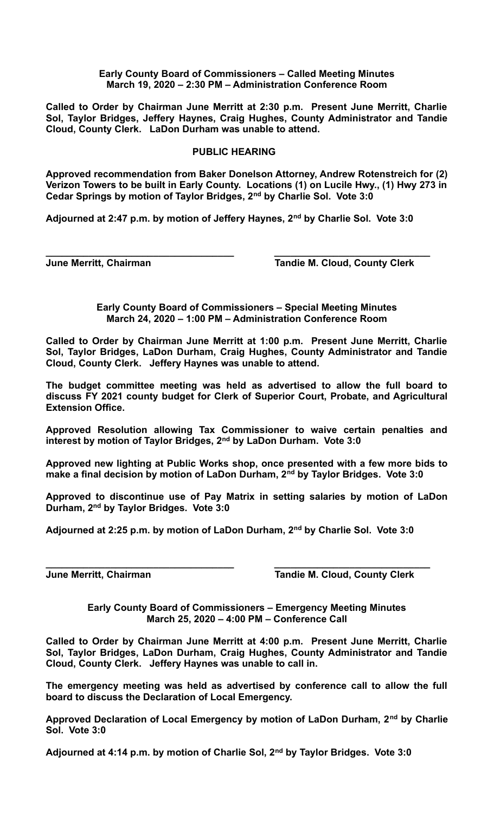## **Early County Board of Commissioners – Called Meeting Minutes March 19, 2020 – 2:30 PM – Administration Conference Room**

**Called to Order by Chairman June Merritt at 2:30 p.m. Present June Merritt, Charlie Sol, Taylor Bridges, Jeffery Haynes, Craig Hughes, County Administrator and Tandie Cloud, County Clerk. LaDon Durham was unable to attend.**

## **PUBLIC HEARING**

**Approved recommendation from Baker Donelson Attorney, Andrew Rotenstreich for (2) Verizon Towers to be built in Early County. Locations (1) on Lucile Hwy., (1) Hwy 273 in Cedar Springs by motion of Taylor Bridges, 2nd by Charlie Sol. Vote 3:0**

**Adjourned at 2:47 p.m. by motion of Jeffery Haynes, 2nd by Charlie Sol. Vote 3:0**

**\_\_\_\_\_\_\_\_\_\_\_\_\_\_\_\_\_\_\_\_\_\_\_\_\_\_\_\_\_\_\_\_\_\_\_ \_\_\_\_\_\_\_\_\_\_\_\_\_\_\_\_\_\_\_\_\_\_\_\_\_\_\_\_\_**

**June Merritt, Chairman Community Clerk** Tandie M. Cloud, County Clerk

**Early County Board of Commissioners – Special Meeting Minutes March 24, 2020 – 1:00 PM – Administration Conference Room**

**Called to Order by Chairman June Merritt at 1:00 p.m. Present June Merritt, Charlie Sol, Taylor Bridges, LaDon Durham, Craig Hughes, County Administrator and Tandie Cloud, County Clerk. Jeffery Haynes was unable to attend.**

**The budget committee meeting was held as advertised to allow the full board to discuss FY 2021 county budget for Clerk of Superior Court, Probate, and Agricultural Extension Office.**

**Approved Resolution allowing Tax Commissioner to waive certain penalties and interest by motion of Taylor Bridges, 2nd by LaDon Durham. Vote 3:0**

**Approved new lighting at Public Works shop, once presented with a few more bids to make a final decision by motion of LaDon Durham, 2nd by Taylor Bridges. Vote 3:0**

**Approved to discontinue use of Pay Matrix in setting salaries by motion of LaDon Durham, 2nd by Taylor Bridges. Vote 3:0**

**Adjourned at 2:25 p.m. by motion of LaDon Durham, 2nd by Charlie Sol. Vote 3:0**

**\_\_\_\_\_\_\_\_\_\_\_\_\_\_\_\_\_\_\_\_\_\_\_\_\_\_\_\_\_\_\_\_\_\_\_ \_\_\_\_\_\_\_\_\_\_\_\_\_\_\_\_\_\_\_\_\_\_\_\_\_\_\_\_\_**

**June Merritt, Chairman Community Clerk** Tandie M. Cloud, County Clerk

**Early County Board of Commissioners – Emergency Meeting Minutes March 25, 2020 – 4:00 PM – Conference Call**

**Called to Order by Chairman June Merritt at 4:00 p.m. Present June Merritt, Charlie Sol, Taylor Bridges, LaDon Durham, Craig Hughes, County Administrator and Tandie Cloud, County Clerk. Jeffery Haynes was unable to call in.**

**The emergency meeting was held as advertised by conference call to allow the full board to discuss the Declaration of Local Emergency.**

**Approved Declaration of Local Emergency by motion of LaDon Durham, 2nd by Charlie Sol. Vote 3:0**

**Adjourned at 4:14 p.m. by motion of Charlie Sol, 2nd by Taylor Bridges. Vote 3:0**